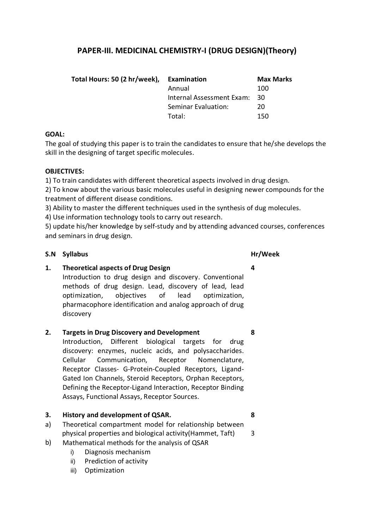# **PAPER-III. MEDICINAL CHEMISTRY-I (DRUG DESIGN)(Theory)**

| Total Hours: 50 (2 hr/week), | Examination               | <b>Max Marks</b> |
|------------------------------|---------------------------|------------------|
|                              | Annual                    | 100              |
|                              | Internal Assessment Exam: | - 30             |
|                              | Seminar Evaluation:       | 20               |
|                              | Total:                    | 150              |

### **GOAL:**

The goal of studying this paper is to train the candidates to ensure that he/she develops the skill in the designing of target specific molecules.

## **OBJECTIVES:**

1) To train candidates with different theoretical aspects involved in drug design.

2) To know about the various basic molecules useful in designing newer compounds for the treatment of different disease conditions.

3) Ability to master the different techniques used in the synthesis of dug molecules.

4) Use information technology tools to carry out research.

5) update his/her knowledge by self-study and by attending advanced courses, conferences and seminars in drug design.

## **S.N Syllabus Hr/Week**

**4**

**8**

**1. Theoretical aspects of Drug Design**

Introduction to drug design and discovery. Conventional methods of drug design. Lead, discovery of lead, lead optimization, objectives of lead optimization, pharmacophore identification and analog approach of drug discovery

### **2. Targets in Drug Discovery and Development**

Introduction, Different biological targets for drug discovery: enzymes, nucleic acids, and polysaccharides. Cellular Communication, Receptor Nomenclature, Receptor Classes- G-Protein-Coupled Receptors, Ligand-Gated Ion Channels, Steroid Receptors, Orphan Receptors, Defining the Receptor-Ligand Interaction, Receptor Binding Assays, Functional Assays, Receptor Sources.

### **3. History and development of QSAR.**

- a) Theoretical compartment model for relationship between physical properties and biological activity(Hammet, Taft)
- b) Mathematical methods for the analysis of QSAR
	- i) Diagnosis mechanism
	- ii) Prediction of activity
	- iii) Optimization

**8**

3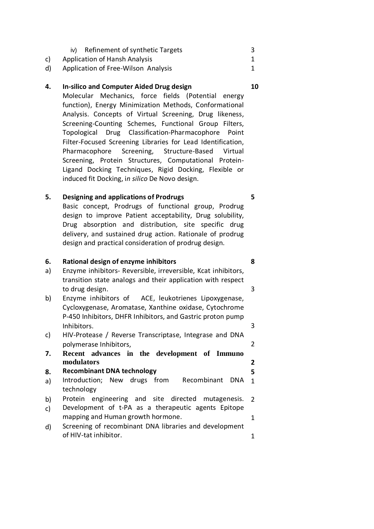- c) iv) Refinement of synthetic Targets Application of Hansh Analysis 3 1
- d) Application of Free-Wilson Analysis

#### **4. In-silico and Computer Aided Drug design**

Molecular Mechanics, force fields (Potential energy function), Energy Minimization Methods, Conformational Analysis. Concepts of Virtual Screening, Drug likeness, Screening-Counting Schemes, Functional Group Filters, Topological Drug Classification-Pharmacophore Point Filter-Focused Screening Libraries for Lead Identification, Pharmacophore Screening, Structure-Based Virtual Screening, Protein Structures, Computational Protein-Ligand Docking Techniques, Rigid Docking, Flexible or induced fit Docking, i*n silico* De Novo design.

#### **5. Designing and applications of Prodrugs**

Basic concept, Prodrugs of functional group, Prodrug design to improve Patient acceptability, Drug solubility, Drug absorption and distribution, site specific drug delivery, and sustained drug action. Rationale of prodrug design and practical consideration of prodrug design.

#### **6. Rational design of enzyme inhibitors**

- a) Enzyme inhibitors- Reversible, irreversible, Kcat inhibitors, transition state analogs and their application with respect to drug design.
- b) Enzyme inhibitors of ACE, leukotrienes Lipoxygenase, Cycloxygenase, Aromatase, Xanthine oxidase, Cytochrome P-450 Inhibitors, DHFR Inhibitors, and Gastric proton pump Inhibitors.
- c) HIV-Protease / Reverse Transcriptase, Integrase and DNA polymerase Inhibitors,
- **7. Recent advances in the development of Immuno modulators**

#### **8. Recombinant DNA technology**

- a) Introduction; New drugs from Recombinant DNA technology 1
- b) Protein engineering and site directed mutagenesis. 2
- c) Development of t-PA as a therapeutic agents Epitope mapping and Human growth hormone. 1
- d) Screening of recombinant DNA libraries and development of HIV-tat inhibitor. 1

### **10**

1

**8**

3

3

2

**2 5**

**5**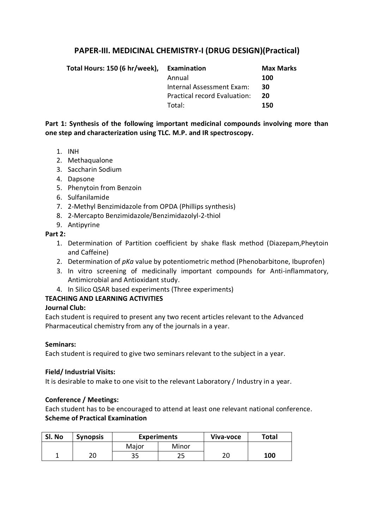# **PAPER-III. MEDICINAL CHEMISTRY-I (DRUG DESIGN)(Practical)**

| Total Hours: 150 (6 hr/week), | Examination                  | <b>Max Marks</b> |
|-------------------------------|------------------------------|------------------|
|                               | Annual                       | 100              |
|                               | Internal Assessment Exam:    | 30               |
|                               | Practical record Evaluation: | 20               |
|                               | Total:                       | 150              |

**Part 1: Synthesis of the following important medicinal compounds involving more than one step and characterization using TLC. M.P. and IR spectroscopy.** 

- 1. INH
- 2. Methaqualone
- 3. Saccharin Sodium
- 4. Dapsone
- 5. Phenytoin from Benzoin
- 6. Sulfanilamide
- 7. 2-Methyl Benzimidazole from OPDA (Phillips synthesis)
- 8. 2-Mercapto Benzimidazole/Benzimidazolyl-2-thiol
- 9. Antipyrine

### **Part 2:**

- 1. Determination of Partition coefficient by shake flask method (Diazepam,Pheytoin and Caffeine)
- 2. Determination of *pKa* value by potentiometric method (Phenobarbitone, Ibuprofen)
- 3. In vitro screening of medicinally important compounds for Anti-inflammatory, Antimicrobial and Antioxidant study.
- 4. In Silico QSAR based experiments (Three experiments)

### **TEACHING AND LEARNING ACTIVITIES**

### **Journal Club:**

Each student is required to present any two recent articles relevant to the Advanced Pharmaceutical chemistry from any of the journals in a year.

### **Seminars:**

Each student is required to give two seminars relevant to the subject in a year.

### **Field/ Industrial Visits:**

It is desirable to make to one visit to the relevant Laboratory / Industry in a year.

### **Conference / Meetings:**

Each student has to be encouraged to attend at least one relevant national conference. **Scheme of Practical Examination**

| SI. No | <b>Synopsis</b> | <b>Experiments</b> |       | Viva-voce | Total |
|--------|-----------------|--------------------|-------|-----------|-------|
|        |                 | Major              | Minor |           |       |
|        | חר              | 35                 | ر ے   | חר<br>ZU  | 100   |